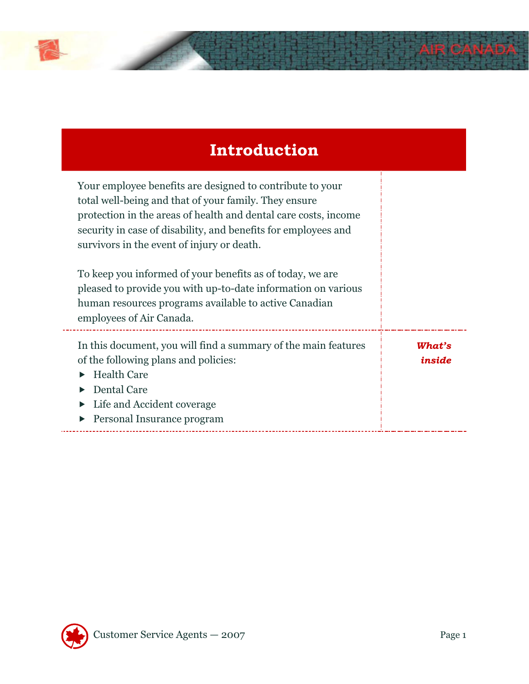

## **Introduction**

| Your employee benefits are designed to contribute to your<br>total well-being and that of your family. They ensure<br>protection in the areas of health and dental care costs, income<br>security in case of disability, and benefits for employees and<br>survivors in the event of injury or death. |                  |
|-------------------------------------------------------------------------------------------------------------------------------------------------------------------------------------------------------------------------------------------------------------------------------------------------------|------------------|
| To keep you informed of your benefits as of today, we are<br>pleased to provide you with up-to-date information on various<br>human resources programs available to active Canadian<br>employees of Air Canada.                                                                                       |                  |
| In this document, you will find a summary of the main features<br>of the following plans and policies:<br><b>Health Care</b><br>Dental Care<br>Life and Accident coverage<br>Personal Insurance program                                                                                               | What's<br>inside |